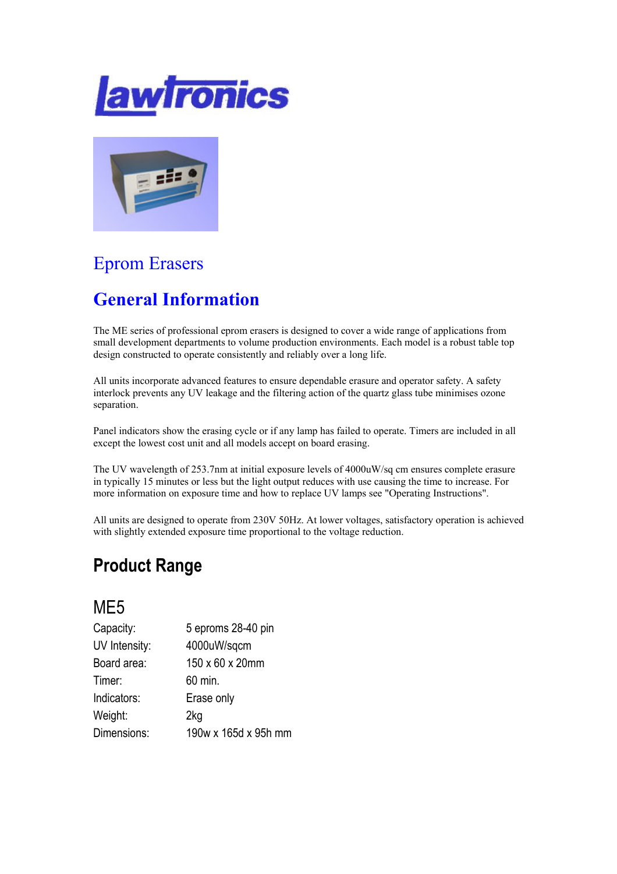



# Eprom Erasers

## General Information

The ME series of professional eprom erasers is designed to cover a wide range of applications from small development departments to volume production environments. Each model is a robust table top design constructed to operate consistently and reliably over a long life.

All units incorporate advanced features to ensure dependable erasure and operator safety. A safety interlock prevents any UV leakage and the filtering action of the quartz glass tube minimises ozone separation.

Panel indicators show the erasing cycle or if any lamp has failed to operate. Timers are included in all except the lowest cost unit and all models accept on board erasing.

The UV wavelength of 253.7nm at initial exposure levels of 4000uW/sq cm ensures complete erasure in typically 15 minutes or less but the light output reduces with use causing the time to increase. For more information on exposure time and how to replace UV lamps see "Operating Instructions".

All units are designed to operate from 230V 50Hz. At lower voltages, satisfactory operation is achieved with slightly extended exposure time proportional to the voltage reduction.

### Product Range

### M<sub>F5</sub>

| Capacity:     | 5 eproms 28-40 pin   |
|---------------|----------------------|
| UV Intensity: | 4000uW/sqcm          |
| Board area:   | 150 x 60 x 20mm      |
| Timer:        | 60 min.              |
| Indicators:   | Erase only           |
| Weight:       | 2kg                  |
| Dimensions:   | 190w x 165d x 95h mm |